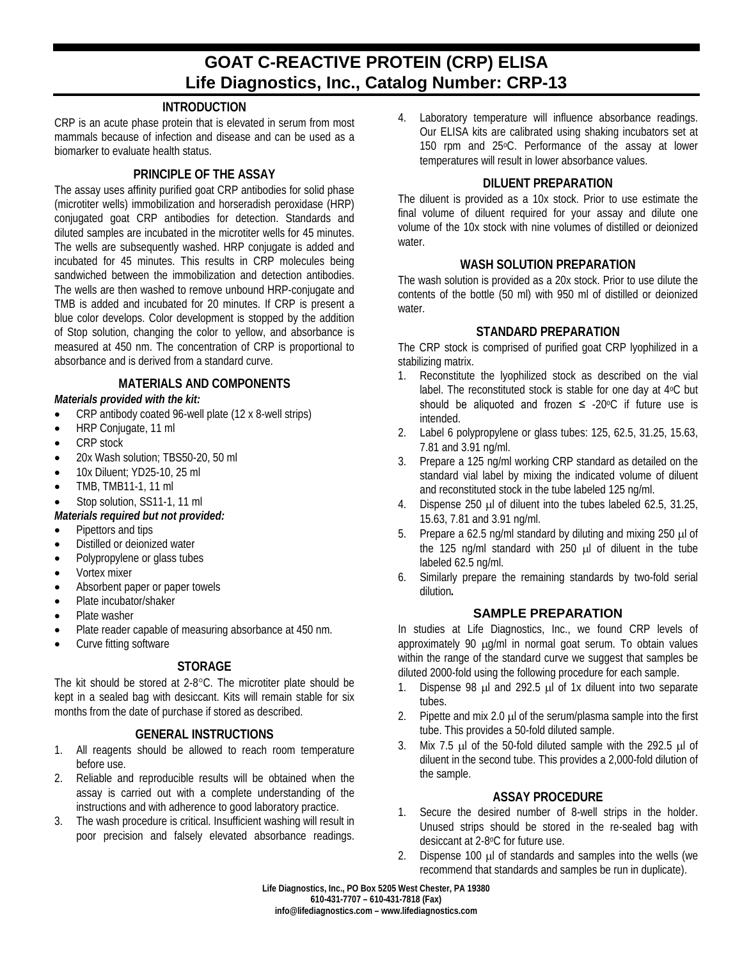# **GOAT C-REACTIVE PROTEIN (CRP) ELISA Life Diagnostics, Inc., Catalog Number: CRP-13**

# **INTRODUCTION**

CRP is an acute phase protein that is elevated in serum from most mammals because of infection and disease and can be used as a biomarker to evaluate health status.

## **PRINCIPLE OF THE ASSAY**

The assay uses affinity purified goat CRP antibodies for solid phase (microtiter wells) immobilization and horseradish peroxidase (HRP) conjugated goat CRP antibodies for detection. Standards and diluted samples are incubated in the microtiter wells for 45 minutes. The wells are subsequently washed. HRP conjugate is added and incubated for 45 minutes. This results in CRP molecules being sandwiched between the immobilization and detection antibodies. The wells are then washed to remove unbound HRP-conjugate and TMB is added and incubated for 20 minutes. If CRP is present a blue color develops. Color development is stopped by the addition of Stop solution, changing the color to yellow, and absorbance is measured at 450 nm. The concentration of CRP is proportional to absorbance and is derived from a standard curve.

# **MATERIALS AND COMPONENTS**

#### *Materials provided with the kit:*

- CRP antibody coated 96-well plate (12 x 8-well strips)
- HRP Coniugate, 11 ml
- CRP stock
- 20x Wash solution: TBS50-20, 50 ml
- 10x Diluent; YD25-10, 25 ml
- TMB, TMB11-1, 11 ml
- Stop solution, SS11-1, 11 ml
- *Materials required but not provided:*
- Pipettors and tips
- Distilled or deionized water
- Polypropylene or glass tubes
- Vortex mixer
- Absorbent paper or paper towels
- Plate incubator/shaker
- Plate washer
- Plate reader capable of measuring absorbance at 450 nm.
- Curve fitting software

# **STORAGE**

The kit should be stored at 2-8°C. The microtiter plate should be kept in a sealed bag with desiccant. Kits will remain stable for six months from the date of purchase if stored as described.

#### **GENERAL INSTRUCTIONS**

- 1. All reagents should be allowed to reach room temperature before use.
- 2. Reliable and reproducible results will be obtained when the assay is carried out with a complete understanding of the instructions and with adherence to good laboratory practice.
- 3. The wash procedure is critical. Insufficient washing will result in poor precision and falsely elevated absorbance readings.

4. Laboratory temperature will influence absorbance readings. Our ELISA kits are calibrated using shaking incubators set at 150 rpm and 25°C. Performance of the assay at lower temperatures will result in lower absorbance values.

## **DILUENT PREPARATION**

The diluent is provided as a 10x stock. Prior to use estimate the final volume of diluent required for your assay and dilute one volume of the 10x stock with nine volumes of distilled or deionized water

#### **WASH SOLUTION PREPARATION**

The wash solution is provided as a 20x stock. Prior to use dilute the contents of the bottle (50 ml) with 950 ml of distilled or deionized water.

## **STANDARD PREPARATION**

The CRP stock is comprised of purified goat CRP lyophilized in a stabilizing matrix.

- 1. Reconstitute the lyophilized stock as described on the vial label. The reconstituted stock is stable for one day at 4°C but should be aliquoted and frozen  $\leq$  -20 $\degree$ C if future use is intended.
- 2. Label 6 polypropylene or glass tubes: 125, 62.5, 31.25, 15.63, 7.81 and 3.91 ng/ml.
- 3. Prepare a 125 ng/ml working CRP standard as detailed on the standard vial label by mixing the indicated volume of diluent and reconstituted stock in the tube labeled 125 ng/ml.
- 4. Dispense 250 µl of diluent into the tubes labeled 62.5, 31.25, 15.63, 7.81 and 3.91 ng/ml.
- 5. Prepare a 62.5 ng/ml standard by diluting and mixing 250 µl of the 125 ng/ml standard with 250 µl of diluent in the tube labeled 62.5 ng/ml.
- 6. Similarly prepare the remaining standards by two-fold serial dilution*.*

# **SAMPLE PREPARATION**

In studies at Life Diagnostics, Inc., we found CRP levels of approximately 90  $\mu q/ml$  in normal goat serum. To obtain values within the range of the standard curve we suggest that samples be diluted 2000-fold using the following procedure for each sample.

- 1. Dispense 98 µl and 292.5 µl of 1x diluent into two separate tubes.
- 2. Pipette and mix 2.0 µ of the serum/plasma sample into the first tube. This provides a 50-fold diluted sample.
- 3. Mix 7.5 µl of the 50-fold diluted sample with the 292.5 µl of diluent in the second tube. This provides a 2,000-fold dilution of the sample.

# **ASSAY PROCEDURE**

- 1. Secure the desired number of 8-well strips in the holder. Unused strips should be stored in the re-sealed bag with desiccant at 2-8°C for future use.
- 2. Dispense 100 µl of standards and samples into the wells (we recommend that standards and samples be run in duplicate).

**Life Diagnostics, Inc., PO Box 5205 West Chester, PA 19380 610-431-7707 – 610-431-7818 (Fax) info@lifediagnostics.com – www.lifediagnostics.com**